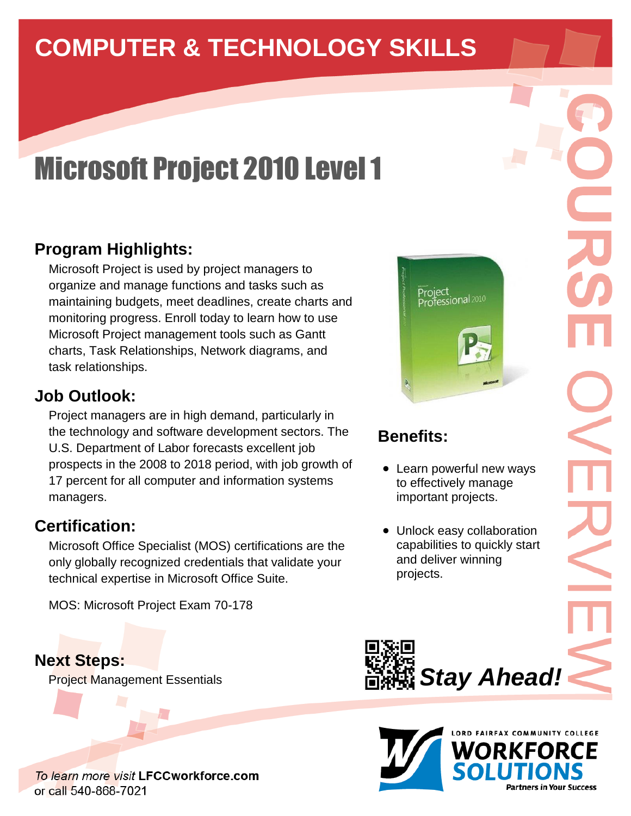# **COMPUTER & TECHNOLOGY SKILLS**

# Microsoft Project 2010 Level 1

## **Program Highlights:**

Microsoft Project is used by project managers to organize and manage functions and tasks such as maintaining budgets, meet deadlines, create charts and monitoring progress. Enroll today to learn how to use Microsoft Project management tools such as Gantt charts, Task Relationships, Network diagrams, and task relationships.

#### **Job Outlook:**

Project managers are in high demand, particularly in the technology and software development sectors. The U.S. Department of Labor forecasts excellent job prospects in the 2008 to 2018 period, with job growth of 17 percent for all computer and information systems managers.

#### **Certification:**

Microsoft Office Specialist (MOS) certifications are the only globally recognized credentials that validate your technical expertise in Microsoft Office Suite.

MOS: Microsoft Project Exam 70-178

**Next Steps:** Project Management Essentials





# **Benefits:**

- Learn powerful new ways to effectively manage important projects.
- Unlock easy collaboration capabilities to quickly start and deliver winning projects.